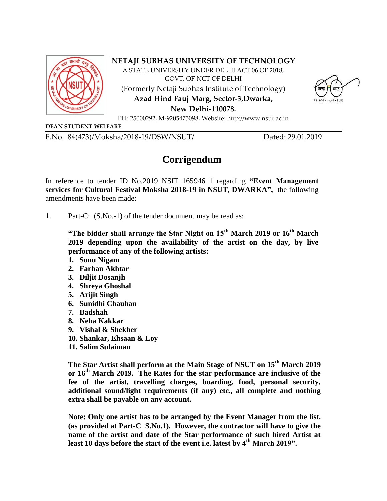

**NETAJI SUBHAS UNIVERSITY OF TECHNOLOGY**

A STATE UNIVERSITY UNDER DELHI ACT 06 OF 2018, GOVT. OF NCT OF DELHI (Formerly Netaji Subhas Institute of Technology) **Azad Hind Fauj Marg, Sector-3,Dwarka,** 



**New Delhi-110078.** PH: 25000292, M-9205475098, Website: http://www.nsut.ac.in

**DEAN STUDENT WELFARE**

F.No. 84(473)/Moksha/2018-19/DSW/NSUT/ Dated: 29.01.2019

## **Corrigendum**

In reference to tender ID No.2019\_NSIT\_165946\_1 regarding **"Event Management services for Cultural Festival Moksha 2018-19 in NSUT, DWARKA",** the following amendments have been made:

1. Part-C: (S.No.-1) of the tender document may be read as:

**"The bidder shall arrange the Star Night on 15th March 2019 or 16th March 2019 depending upon the availability of the artist on the day, by live performance of any of the following artists:** 

- **1. Sonu Nigam**
- **2. Farhan Akhtar**
- **3. Diljit Dosanjh**
- **4. Shreya Ghoshal**
- **5. Arijit Singh**
- **6. Sunidhi Chauhan**
- **7. Badshah**
- **8. Neha Kakkar**
- **9. Vishal & Shekher**
- **10. Shankar, Ehsaan & Loy**
- **11. Salim Sulaiman**

**The Star Artist shall perform at the Main Stage of NSUT on 15th March 2019 or 16th March 2019. The Rates for the star performance are inclusive of the fee of the artist, travelling charges, boarding, food, personal security, additional sound/light requirements (if any) etc., all complete and nothing extra shall be payable on any account.**

**Note: Only one artist has to be arranged by the Event Manager from the list. (as provided at Part-C S.No.1). However, the contractor will have to give the name of the artist and date of the Star performance of such hired Artist at least 10 days before the start of the event i.e. latest by 4th March 2019".**